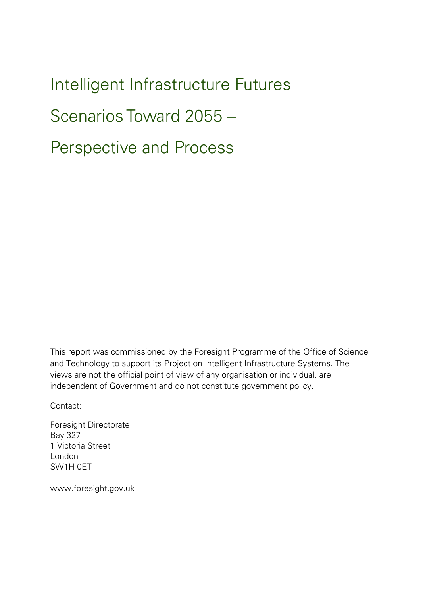# Intelligent Infrastructure Futures Scenarios Toward 2055 – Perspective and Process

This report was commissioned by the Foresight Programme of the Office of Science and Technology to support its Project on Intelligent Infrastructure Systems. The views are not the official point of view of any organisation or individual, are independent of Government and do not constitute government policy.

Contact:

Foresight Directorate Bay 327 1 Victoria Street London SW1H 0ET

www.foresight.gov.uk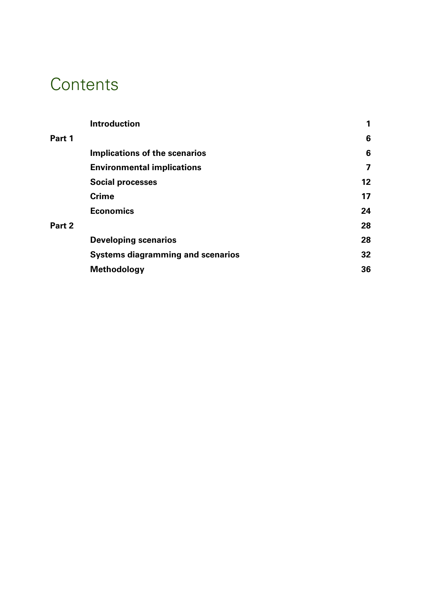### **Contents**

| <b>Introduction</b>                      | 1  |
|------------------------------------------|----|
| Part 1                                   | 6  |
| Implications of the scenarios            | 6  |
| <b>Environmental implications</b>        | 7  |
| <b>Social processes</b>                  | 12 |
| <b>Crime</b>                             | 17 |
| <b>Economics</b>                         | 24 |
| Part 2                                   | 28 |
| <b>Developing scenarios</b>              | 28 |
| <b>Systems diagramming and scenarios</b> | 32 |
| <b>Methodology</b>                       | 36 |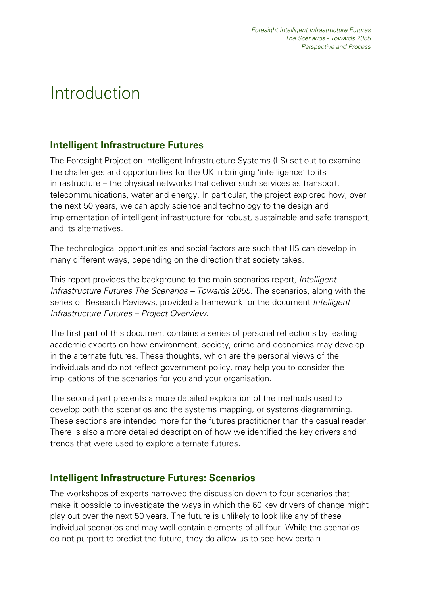### <span id="page-3-0"></span>Introduction

#### **Intelligent Infrastructure Futures**

The Foresight Project on Intelligent Infrastructure Systems (IIS) set out to examine the challenges and opportunities for the UK in bringing 'intelligence' to its infrastructure – the physical networks that deliver such services as transport, telecommunications, water and energy. In particular, the project explored how, over the next 50 years, we can apply science and technology to the design and implementation of intelligent infrastructure for robust, sustainable and safe transport, and its alternatives.

The technological opportunities and social factors are such that IIS can develop in many different ways, depending on the direction that society takes.

This report provides the background to the main scenarios report, *Intelligent Infrastructure Futures The Scenarios – Towards 2055*. The scenarios, along with the series of Research Reviews, provided a framework for the document *Intelligent Infrastructure Futures – Project Overview*.

The first part of this document contains a series of personal reflections by leading academic experts on how environment, society, crime and economics may develop in the alternate futures. These thoughts, which are the personal views of the individuals and do not reflect government policy, may help you to consider the implications of the scenarios for you and your organisation.

The second part presents a more detailed exploration of the methods used to develop both the scenarios and the systems mapping, or systems diagramming. These sections are intended more for the futures practitioner than the casual reader. There is also a more detailed description of how we identified the key drivers and trends that were used to explore alternate futures.

#### **Intelligent Infrastructure Futures: Scenarios**

The workshops of experts narrowed the discussion down to four scenarios that make it possible to investigate the ways in which the 60 key drivers of change might play out over the next 50 years. The future is unlikely to look like any of these individual scenarios and may well contain elements of all four. While the scenarios do not purport to predict the future, they do allow us to see how certain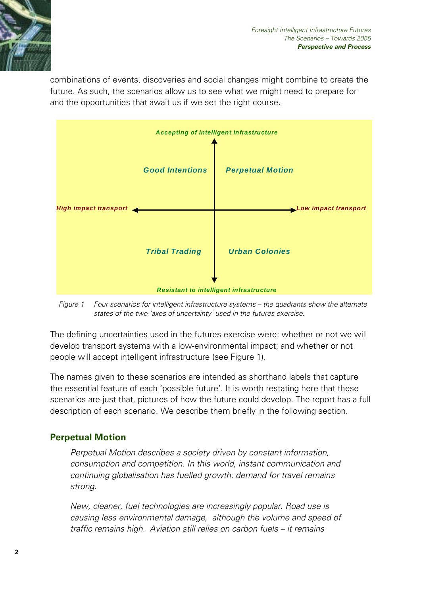

combinations of events, discoveries and social changes might combine to create the future. As such, the scenarios allow us to see what we might need to prepare for and the opportunities that await us if we set the right course.



*Figure 1 Four scenarios for intelligent infrastructure systems – the quadrants show the alternate states of the two 'axes of uncertainty' used in the futures exercise.* 

The defining uncertainties used in the futures exercise were: whether or not we will develop transport systems with a low-environmental impact; and whether or not people will accept intelligent infrastructure (see Figure 1).

The names given to these scenarios are intended as shorthand labels that capture the essential feature of each 'possible future'. It is worth restating here that these scenarios are just that, pictures of how the future could develop. The report has a full description of each scenario. We describe them briefly in the following section.

#### **Perpetual Motion**

*Perpetual Motion describes a society driven by constant information, consumption and competition. In this world, instant communication and continuing globalisation has fuelled growth: demand for travel remains strong.* 

*New, cleaner, fuel technologies are increasingly popular. Road use is causing less environmental damage, although the volume and speed of traffic remains high. Aviation still relies on carbon fuels – it remains*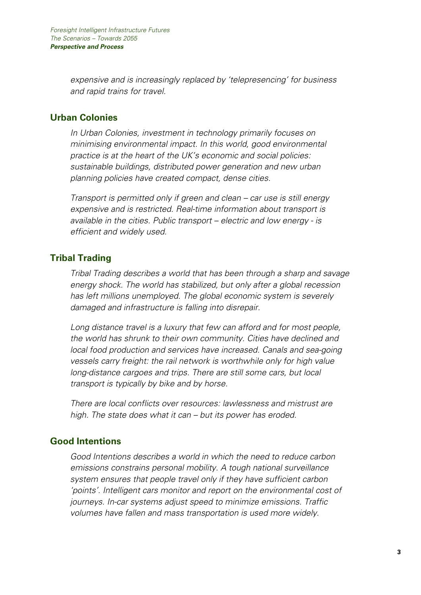*expensive and is increasingly replaced by 'telepresencing' for business and rapid trains for travel.* 

#### **Urban Colonies**

*In Urban Colonies, investment in technology primarily focuses on minimising environmental impact. In this world, good environmental practice is at the heart of the UK's economic and social policies: sustainable buildings, distributed power generation and new urban planning policies have created compact, dense cities.* 

*Transport is permitted only if green and clean – car use is still energy expensive and is restricted. Real-time information about transport is available in the cities. Public transport – electric and low energy - is efficient and widely used.* 

#### **Tribal Trading**

*Tribal Trading describes a world that has been through a sharp and savage energy shock. The world has stabilized, but only after a global recession has left millions unemployed. The global economic system is severely damaged and infrastructure is falling into disrepair.* 

*Long distance travel is a luxury that few can afford and for most people, the world has shrunk to their own community. Cities have declined and local food production and services have increased. Canals and sea-going vessels carry freight: the rail network is worthwhile only for high value long-distance cargoes and trips. There are still some cars, but local transport is typically by bike and by horse.* 

*There are local conflicts over resources: lawlessness and mistrust are high. The state does what it can – but its power has eroded.* 

#### **Good Intentions**

*Good Intentions describes a world in which the need to reduce carbon emissions constrains personal mobility. A tough national surveillance system ensures that people travel only if they have sufficient carbon*  'points'. Intelligent cars monitor and report on the environmental cost of *journeys. In-car systems adjust speed to minimize emissions. Traffic volumes have fallen and mass transportation is used more widely.*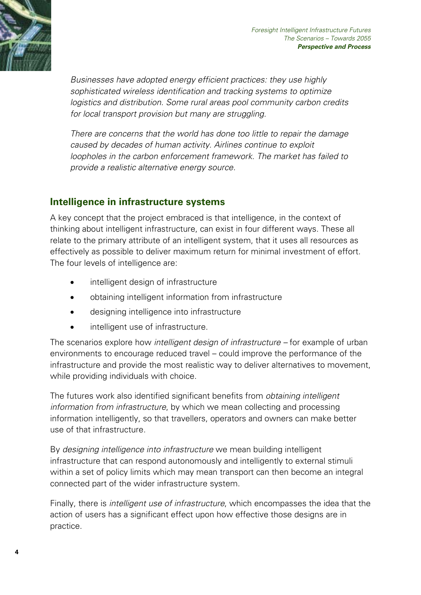

*Businesses have adopted energy efficient practices: they use highly sophisticated wireless identification and tracking systems to optimize logistics and distribution. Some rural areas pool community carbon credits for local transport provision but many are struggling.* 

*There are concerns that the world has done too little to repair the damage caused by decades of human activity. Airlines continue to exploit loopholes in the carbon enforcement framework. The market has failed to provide a realistic alternative energy source.* 

#### **Intelligence in infrastructure systems**

A key concept that the project embraced is that intelligence, in the context of thinking about intelligent infrastructure, can exist in four different ways. These all relate to the primary attribute of an intelligent system, that it uses all resources as effectively as possible to deliver maximum return for minimal investment of effort. The four levels of intelligence are:

- intelligent design of infrastructure
- obtaining intelligent information from infrastructure
- designing intelligence into infrastructure
- intelligent use of infrastructure.

The scenarios explore how *intelligent design of infrastructure –* for example of urban environments to encourage reduced travel – could improve the performance of the infrastructure and provide the most realistic way to deliver alternatives to movement, while providing individuals with choice.

The futures work also identified significant benefits from *obtaining intelligent information from infrastructure*, by which we mean collecting and processing information intelligently, so that travellers, operators and owners can make better use of that infrastructure.

By *designing intelligence into infrastructure* we mean building intelligent infrastructure that can respond autonomously and intelligently to external stimuli within a set of policy limits which may mean transport can then become an integral connected part of the wider infrastructure system.

Finally, there is *intelligent use of infrastructure*, which encompasses the idea that the action of users has a significant effect upon how effective those designs are in practice.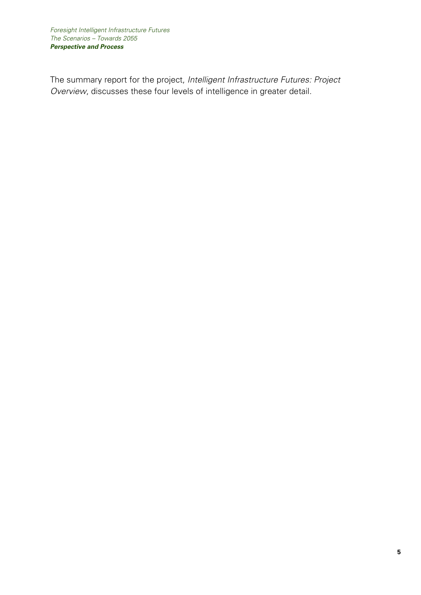*Foresight Intelligent Infrastructure Futures The Scenarios – Towards 2055 Perspective and Process*

The summary report for the project, *Intelligent Infrastructure Futures: Project Overview*, discusses these four levels of intelligence in greater detail.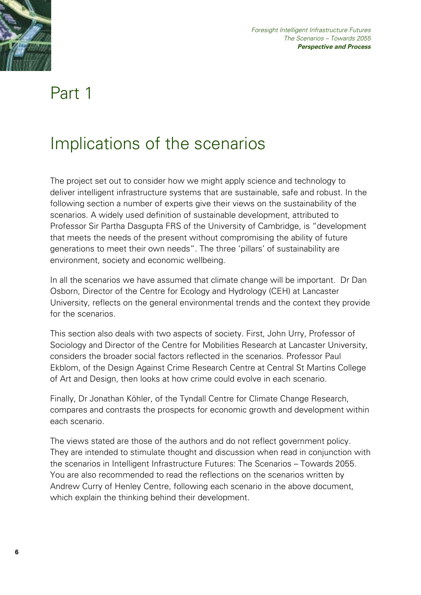

<span id="page-8-0"></span>

## Part 1

### Implications of the scenarios

The project set out to consider how we might apply science and technology to deliver intelligent infrastructure systems that are sustainable, safe and robust. In the following section a number of experts give their views on the sustainability of the scenarios. A widely used definition of sustainable development, attributed to Professor Sir Partha Dasgupta FRS of the University of Cambridge, is "development that meets the needs of the present without compromising the ability of future generations to meet their own needs". The three 'pillars' of sustainability are environment, society and economic wellbeing.

In all the scenarios we have assumed that climate change will be important. Dr Dan Osborn, Director of the Centre for Ecology and Hydrology (CEH) at Lancaster University, reflects on the general environmental trends and the context they provide for the scenarios.

This section also deals with two aspects of society. First, John Urry, Professor of Sociology and Director of the Centre for Mobilities Research at Lancaster University, considers the broader social factors reflected in the scenarios. Professor Paul Ekblom, of the Design Against Crime Research Centre at Central St Martins College of Art and Design, then looks at how crime could evolve in each scenario.

Finally, Dr Jonathan Köhler, of the Tyndall Centre for Climate Change Research, compares and contrasts the prospects for economic growth and development within each scenario.

The views stated are those of the authors and do not reflect government policy. They are intended to stimulate thought and discussion when read in conjunction with the scenarios in Intelligent Infrastructure Futures: The Scenarios – Towards 2055. You are also recommended to read the reflections on the scenarios written by Andrew Curry of Henley Centre, following each scenario in the above document, which explain the thinking behind their development.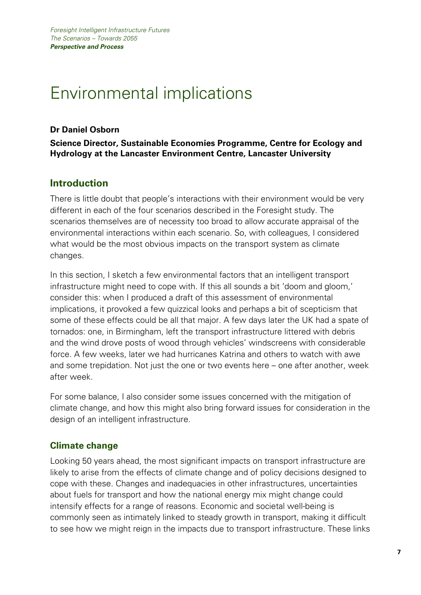### <span id="page-9-0"></span>Environmental implications

#### **Dr Daniel Osborn**

**Science Director, Sustainable Economies Programme, Centre for Ecology and Hydrology at the Lancaster Environment Centre, Lancaster University** 

#### **Introduction**

There is little doubt that people's interactions with their environment would be very different in each of the four scenarios described in the Foresight study. The scenarios themselves are of necessity too broad to allow accurate appraisal of the environmental interactions within each scenario. So, with colleagues, I considered what would be the most obvious impacts on the transport system as climate changes.

In this section, I sketch a few environmental factors that an intelligent transport infrastructure might need to cope with. If this all sounds a bit 'doom and gloom,' consider this: when I produced a draft of this assessment of environmental implications, it provoked a few quizzical looks and perhaps a bit of scepticism that some of these effects could be all that major. A few days later the UK had a spate of tornados: one, in Birmingham, left the transport infrastructure littered with debris and the wind drove posts of wood through vehicles' windscreens with considerable force. A few weeks, later we had hurricanes Katrina and others to watch with awe and some trepidation. Not just the one or two events here – one after another, week after week.

For some balance, I also consider some issues concerned with the mitigation of climate change, and how this might also bring forward issues for consideration in the design of an intelligent infrastructure.

#### **Climate change**

Looking 50 years ahead, the most significant impacts on transport infrastructure are likely to arise from the effects of climate change and of policy decisions designed to cope with these. Changes and inadequacies in other infrastructures, uncertainties about fuels for transport and how the national energy mix might change could intensify effects for a range of reasons. Economic and societal well-being is commonly seen as intimately linked to steady growth in transport, making it difficult to see how we might reign in the impacts due to transport infrastructure. These links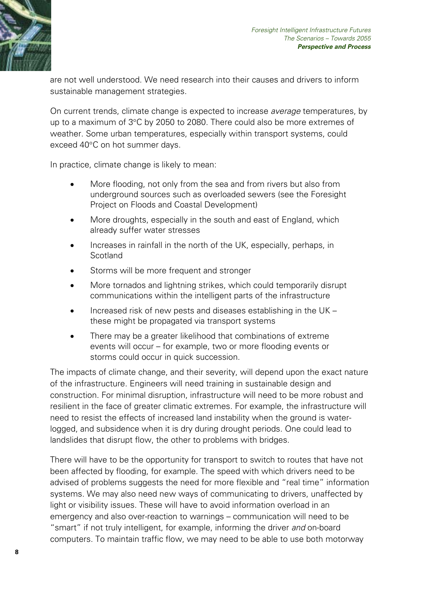

are not well understood. We need research into their causes and drivers to inform sustainable management strategies.

On current trends, climate change is expected to increase *average* temperatures, by up to a maximum of 3°C by 2050 to 2080. There could also be more extremes of weather. Some urban temperatures, especially within transport systems, could exceed 40°C on hot summer days.

In practice, climate change is likely to mean:

- More flooding, not only from the sea and from rivers but also from underground sources such as overloaded sewers (see the Foresight Project on Floods and Coastal Development)
- More droughts, especially in the south and east of England, which already suffer water stresses
- Increases in rainfall in the north of the UK, especially, perhaps, in **Scotland**
- Storms will be more frequent and stronger
- More tornados and lightning strikes, which could temporarily disrupt communications within the intelligent parts of the infrastructure
- Increased risk of new pests and diseases establishing in the UK these might be propagated via transport systems
- There may be a greater likelihood that combinations of extreme events will occur – for example, two or more flooding events or storms could occur in quick succession.

The impacts of climate change, and their severity, will depend upon the exact nature of the infrastructure. Engineers will need training in sustainable design and construction. For minimal disruption, infrastructure will need to be more robust and resilient in the face of greater climatic extremes. For example, the infrastructure will need to resist the effects of increased land instability when the ground is waterlogged, and subsidence when it is dry during drought periods. One could lead to landslides that disrupt flow, the other to problems with bridges.

There will have to be the opportunity for transport to switch to routes that have not been affected by flooding, for example. The speed with which drivers need to be advised of problems suggests the need for more flexible and "real time" information systems. We may also need new ways of communicating to drivers, unaffected by light or visibility issues. These will have to avoid information overload in an emergency and also over-reaction to warnings – communication will need to be "smart" if not truly intelligent, for example, informing the driver *and* on-board computers. To maintain traffic flow, we may need to be able to use both motorway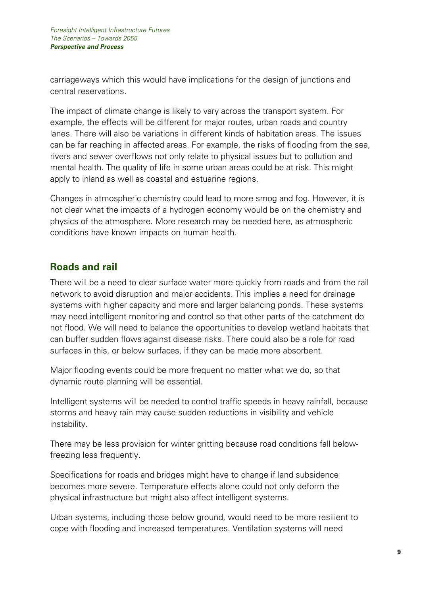carriageways which this would have implications for the design of junctions and central reservations.

The impact of climate change is likely to vary across the transport system. For example, the effects will be different for major routes, urban roads and country lanes. There will also be variations in different kinds of habitation areas. The issues can be far reaching in affected areas. For example, the risks of flooding from the sea, rivers and sewer overflows not only relate to physical issues but to pollution and mental health. The quality of life in some urban areas could be at risk. This might apply to inland as well as coastal and estuarine regions.

Changes in atmospheric chemistry could lead to more smog and fog. However, it is not clear what the impacts of a hydrogen economy would be on the chemistry and physics of the atmosphere. More research may be needed here, as atmospheric conditions have known impacts on human health.

#### **Roads and rail**

There will be a need to clear surface water more quickly from roads and from the rail network to avoid disruption and major accidents. This implies a need for drainage systems with higher capacity and more and larger balancing ponds. These systems may need intelligent monitoring and control so that other parts of the catchment do not flood. We will need to balance the opportunities to develop wetland habitats that can buffer sudden flows against disease risks. There could also be a role for road surfaces in this, or below surfaces, if they can be made more absorbent.

Major flooding events could be more frequent no matter what we do, so that dynamic route planning will be essential.

Intelligent systems will be needed to control traffic speeds in heavy rainfall, because storms and heavy rain may cause sudden reductions in visibility and vehicle instability.

There may be less provision for winter gritting because road conditions fall belowfreezing less frequently.

Specifications for roads and bridges might have to change if land subsidence becomes more severe. Temperature effects alone could not only deform the physical infrastructure but might also affect intelligent systems.

Urban systems, including those below ground, would need to be more resilient to cope with flooding and increased temperatures. Ventilation systems will need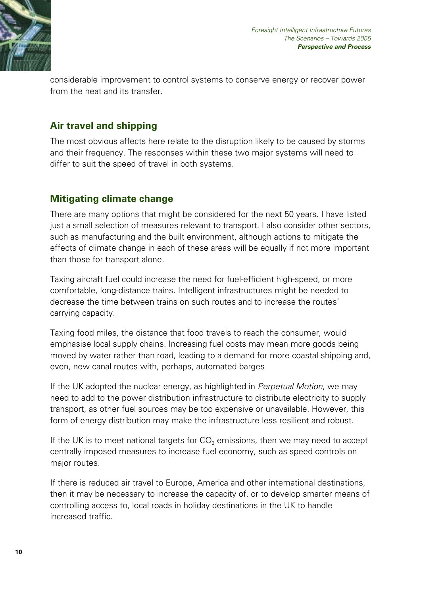

considerable improvement to control systems to conserve energy or recover power from the heat and its transfer.

#### **Air travel and shipping**

The most obvious affects here relate to the disruption likely to be caused by storms and their frequency. The responses within these two major systems will need to differ to suit the speed of travel in both systems.

#### **Mitigating climate change**

There are many options that might be considered for the next 50 years. I have listed just a small selection of measures relevant to transport. I also consider other sectors, such as manufacturing and the built environment, although actions to mitigate the effects of climate change in each of these areas will be equally if not more important than those for transport alone.

Taxing aircraft fuel could increase the need for fuel-efficient high-speed, or more comfortable, long-distance trains. Intelligent infrastructures might be needed to decrease the time between trains on such routes and to increase the routes' carrying capacity.

Taxing food miles, the distance that food travels to reach the consumer, would emphasise local supply chains. Increasing fuel costs may mean more goods being moved by water rather than road, leading to a demand for more coastal shipping and, even, new canal routes with, perhaps, automated barges

If the UK adopted the nuclear energy, as highlighted in *Perpetual Motion*, we may need to add to the power distribution infrastructure to distribute electricity to supply transport, as other fuel sources may be too expensive or unavailable. However, this form of energy distribution may make the infrastructure less resilient and robust.

If the UK is to meet national targets for  $CO<sub>2</sub>$  emissions, then we may need to accept centrally imposed measures to increase fuel economy, such as speed controls on major routes.

If there is reduced air travel to Europe, America and other international destinations, then it may be necessary to increase the capacity of, or to develop smarter means of controlling access to, local roads in holiday destinations in the UK to handle increased traffic.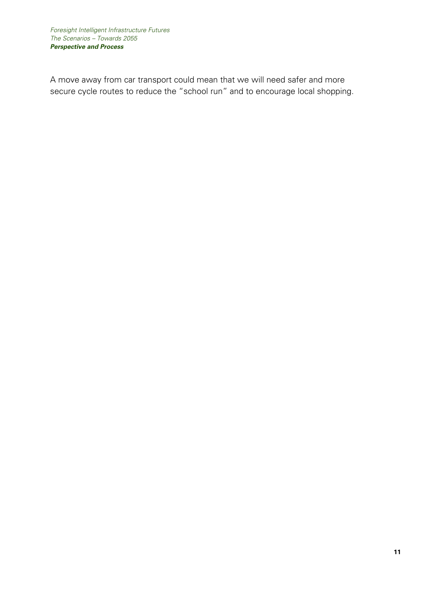*Foresight Intelligent Infrastructure Futures The Scenarios – Towards 2055 Perspective and Process*

A move away from car transport could mean that we will need safer and more secure cycle routes to reduce the "school run" and to encourage local shopping.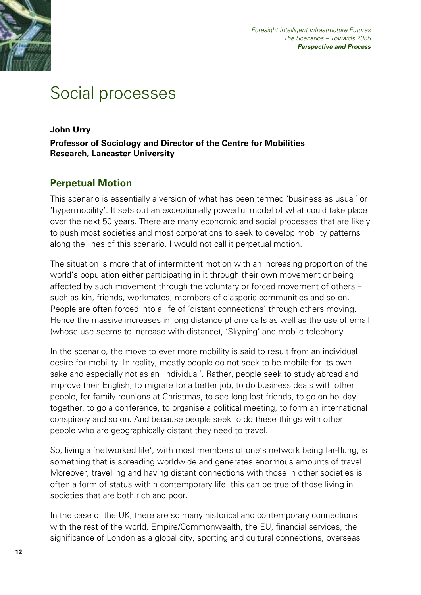<span id="page-14-0"></span>

### Social processes

#### **John Urry Professor of Sociology and Director of the Centre for Mobilities Research, Lancaster University**

#### **Perpetual Motion**

This scenario is essentially a version of what has been termed 'business as usual' or 'hypermobility'. It sets out an exceptionally powerful model of what could take place over the next 50 years. There are many economic and social processes that are likely to push most societies and most corporations to seek to develop mobility patterns along the lines of this scenario. I would not call it perpetual motion.

The situation is more that of intermittent motion with an increasing proportion of the world's population either participating in it through their own movement or being affected by such movement through the voluntary or forced movement of others – such as kin, friends, workmates, members of diasporic communities and so on. People are often forced into a life of 'distant connections' through others moving. Hence the massive increases in long distance phone calls as well as the use of email (whose use seems to increase with distance), 'Skyping' and mobile telephony.

In the scenario, the move to ever more mobility is said to result from an individual desire for mobility. In reality, mostly people do not seek to be mobile for its own sake and especially not as an 'individual'. Rather, people seek to study abroad and improve their English, to migrate for a better job, to do business deals with other people, for family reunions at Christmas, to see long lost friends, to go on holiday together, to go a conference, to organise a political meeting, to form an international conspiracy and so on. And because people seek to do these things with other people who are geographically distant they need to travel.

So, living a 'networked life', with most members of one's network being far-flung, is something that is spreading worldwide and generates enormous amounts of travel. Moreover, travelling and having distant connections with those in other societies is often a form of status within contemporary life: this can be true of those living in societies that are both rich and poor.

In the case of the UK, there are so many historical and contemporary connections with the rest of the world, Empire/Commonwealth, the EU, financial services, the significance of London as a global city, sporting and cultural connections, overseas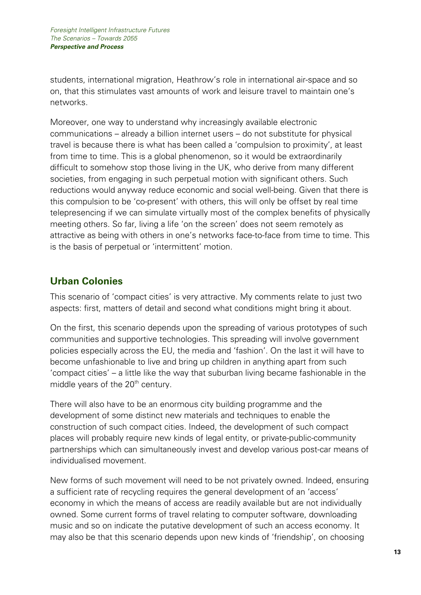*Foresight Intelligent Infrastructure Futures The Scenarios – Towards 2055 Perspective and Process*

students, international migration, Heathrow's role in international air-space and so on, that this stimulates vast amounts of work and leisure travel to maintain one's networks.

Moreover, one way to understand why increasingly available electronic communications – already a billion internet users – do not substitute for physical travel is because there is what has been called a 'compulsion to proximity', at least from time to time. This is a global phenomenon, so it would be extraordinarily difficult to somehow stop those living in the UK, who derive from many different societies, from engaging in such perpetual motion with significant others. Such reductions would anyway reduce economic and social well-being. Given that there is this compulsion to be 'co-present' with others, this will only be offset by real time telepresencing if we can simulate virtually most of the complex benefits of physically meeting others. So far, living a life 'on the screen' does not seem remotely as attractive as being with others in one's networks face-to-face from time to time. This is the basis of perpetual or 'intermittent' motion.

#### **Urban Colonies**

This scenario of 'compact cities' is very attractive. My comments relate to just two aspects: first, matters of detail and second what conditions might bring it about.

On the first, this scenario depends upon the spreading of various prototypes of such communities and supportive technologies. This spreading will involve government policies especially across the EU, the media and 'fashion'. On the last it will have to become unfashionable to live and bring up children in anything apart from such 'compact cities' – a little like the way that suburban living became fashionable in the middle years of the  $20<sup>th</sup>$  century.

There will also have to be an enormous city building programme and the development of some distinct new materials and techniques to enable the construction of such compact cities. Indeed, the development of such compact places will probably require new kinds of legal entity, or private-public-community partnerships which can simultaneously invest and develop various post-car means of individualised movement.

New forms of such movement will need to be not privately owned. Indeed, ensuring a sufficient rate of recycling requires the general development of an 'access' economy in which the means of access are readily available but are not individually owned. Some current forms of travel relating to computer software, downloading music and so on indicate the putative development of such an access economy. It may also be that this scenario depends upon new kinds of 'friendship', on choosing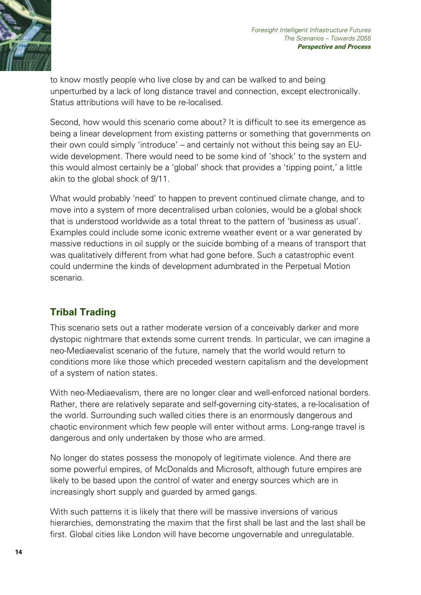

to know mostly people who live close by and can be walked to and being unperturbed by a lack of long distance travel and connection, except electronically. Status attributions will have to be re-localised.

Second, how would this scenario come about? It is difficult to see its emergence as being a linear development from existing patterns or something that governments on their own could simply 'introduce' – and certainly not without this being say an EUwide development. There would need to be some kind of 'shock' to the system and this would almost certainly be a 'global' shock that provides a 'tipping point,' a little akin to the global shock of 9/11.

What would probably 'need' to happen to prevent continued climate change, and to move into a system of more decentralised urban colonies, would be a global shock that is understood worldwide as a total threat to the pattern of 'business as usual'. Examples could include some iconic extreme weather event or a war generated by massive reductions in oil supply or the suicide bombing of a means of transport that was qualitatively different from what had gone before. Such a catastrophic event could undermine the kinds of development adumbrated in the Perpetual Motion scenario.

### **Tribal Trading**

This scenario sets out a rather moderate version of a conceivably darker and more dystopic nightmare that extends some current trends. In particular, we can imagine a neo-Mediaevalist scenario of the future, namely that the world would return to conditions more like those which preceded western capitalism and the development of a system of nation states.

With neo-Mediaevalism, there are no longer clear and well-enforced national borders. Rather, there are relatively separate and self-governing city-states, a re-localisation of the world. Surrounding such walled cities there is an enormously dangerous and chaotic environment which few people will enter without arms. Long-range travel is dangerous and only undertaken by those who are armed.

No longer do states possess the monopoly of legitimate violence. And there are some powerful empires, of McDonalds and Microsoft, although future empires are likely to be based upon the control of water and energy sources which are in increasingly short supply and guarded by armed gangs.

With such patterns it is likely that there will be massive inversions of various hierarchies, demonstrating the maxim that the first shall be last and the last shall be first. Global cities like London will have become ungovernable and unregulatable.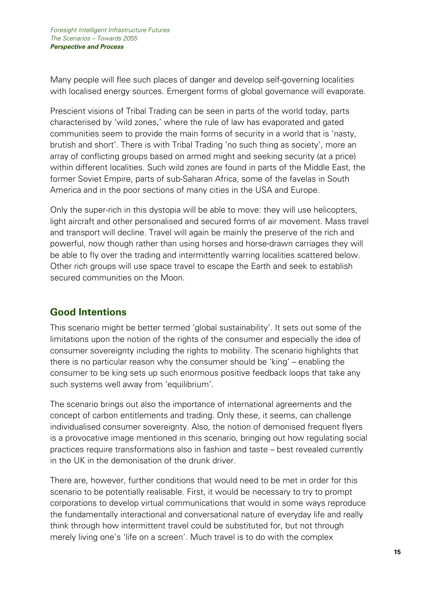Many people will flee such places of danger and develop self-governing localities with localised energy sources. Emergent forms of global governance will evaporate.

Prescient visions of Tribal Trading can be seen in parts of the world today, parts characterised by 'wild zones,' where the rule of law has evaporated and gated communities seem to provide the main forms of security in a world that is 'nasty, brutish and short'. There is with Tribal Trading 'no such thing as society', more an array of conflicting groups based on armed might and seeking security (at a price) within different localities. Such wild zones are found in parts of the Middle East, the former Soviet Empire, parts of sub-Saharan Africa, some of the favelas in South America and in the poor sections of many cities in the USA and Europe.

Only the super-rich in this dystopia will be able to move: they will use helicopters, light aircraft and other personalised and secured forms of air movement. Mass travel and transport will decline. Travel will again be mainly the preserve of the rich and powerful, now though rather than using horses and horse-drawn carriages they will be able to fly over the trading and intermittently warring localities scattered below. Other rich groups will use space travel to escape the Earth and seek to establish secured communities on the Moon.

### **Good Intentions**

This scenario might be better termed 'global sustainability'. It sets out some of the limitations upon the notion of the rights of the consumer and especially the idea of consumer sovereignty including the rights to mobility. The scenario highlights that there is no particular reason why the consumer should be 'king' – enabling the consumer to be king sets up such enormous positive feedback loops that take any such systems well away from 'equilibrium'.

The scenario brings out also the importance of international agreements and the concept of carbon entitlements and trading. Only these, it seems, can challenge individualised consumer sovereignty. Also, the notion of demonised frequent flyers is a provocative image mentioned in this scenario, bringing out how regulating social practices require transformations also in fashion and taste – best revealed currently in the UK in the demonisation of the drunk driver.

There are, however, further conditions that would need to be met in order for this scenario to be potentially realisable. First, it would be necessary to try to prompt corporations to develop virtual communications that would in some ways reproduce the fundamentally interactional and conversational nature of everyday life and really think through how intermittent travel could be substituted for, but not through merely living one's 'life on a screen'. Much travel is to do with the complex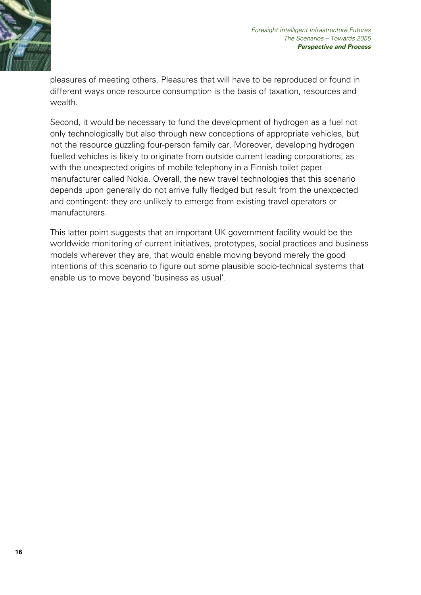

pleasures of meeting others. Pleasures that will have to be reproduced or found in different ways once resource consumption is the basis of taxation, resources and wealth.

Second, it would be necessary to fund the development of hydrogen as a fuel not only technologically but also through new conceptions of appropriate vehicles, but not the resource guzzling four-person family car. Moreover, developing hydrogen fuelled vehicles is likely to originate from outside current leading corporations, as with the unexpected origins of mobile telephony in a Finnish toilet paper manufacturer called Nokia. Overall, the new travel technologies that this scenario depends upon generally do not arrive fully fledged but result from the unexpected and contingent: they are unlikely to emerge from existing travel operators or manufacturers.

This latter point suggests that an important UK government facility would be the worldwide monitoring of current initiatives, prototypes, social practices and business models wherever they are, that would enable moving beyond merely the good intentions of this scenario to figure out some plausible socio-technical systems that enable us to move beyond 'business as usual'.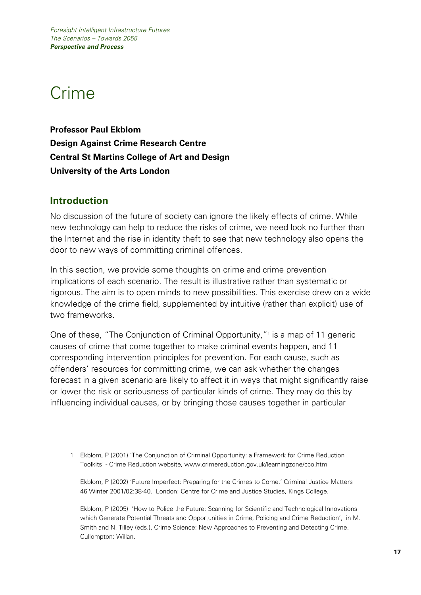## <span id="page-19-0"></span>Crime

**Professor Paul Ekblom Design Against Crime Research Centre Central St Martins College of Art and Design University of the Arts London** 

#### **Introduction**

<u>.</u>

No discussion of the future of society can ignore the likely effects of crime. While new technology can help to reduce the risks of crime, we need look no further than the Internet and the rise in identity theft to see that new technology also opens the door to new ways of committing criminal offences.

In this section, we provide some thoughts on crime and crime prevention implications of each scenario. The result is illustrative rather than systematic or rigorous. The aim is to open minds to new possibilities. This exercise drew on a wide knowledge of the crime field, supplemented by intuitive (rather than explicit) use of two frameworks.

One of these, "The Conjunction of Criminal Opportunity,"<sup>[1](#page-19-0)</sup> is a map of 11 generic causes of crime that come together to make criminal events happen, and 11 corresponding intervention principles for prevention. For each cause, such as offenders' resources for committing crime, we can ask whether the changes forecast in a given scenario are likely to affect it in ways that might significantly raise or lower the risk or seriousness of particular kinds of crime. They may do this by influencing individual causes, or by bringing those causes together in particular

<sup>1</sup> Ekblom, P (2001) 'The Conjunction of Criminal Opportunity: a Framework for Crime Reduction Toolkits' - Crime Reduction website, [www.crimereduction.gov.uk/learningzone/cco.htm](http://www.crimereduction.gov.uk/learningzone/cco.htm) 

Ekblom, P (2002) 'Future Imperfect: Preparing for the Crimes to Come.' Criminal Justice Matters 46 Winter 2001/02:38-40. London: Centre for Crime and Justice Studies, Kings College.

Ekblom, P (2005) 'How to Police the Future: Scanning for Scientific and Technological Innovations which Generate Potential Threats and Opportunities in Crime, Policing and Crime Reduction', in M. Smith and N. Tilley (eds.), Crime Science: New Approaches to Preventing and Detecting Crime. Cullompton: Willan.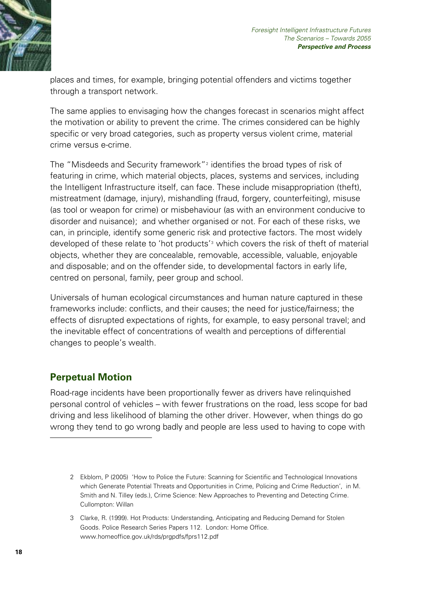<span id="page-20-0"></span>

places and times, for example, bringing potential offenders and victims together through a transport network.

The same applies to envisaging how the changes forecast in scenarios might affect the motivation or ability to prevent the crime. The crimes considered can be highly specific or very broad categories, such as property versus violent crime, material crime versus e-crime.

The "Misdeeds and Security framework["2](#page-20-0) identifies the broad types of risk of featuring in crime, which material objects, places, systems and services, including the Intelligent Infrastructure itself, can face. These include misappropriation (theft), mistreatment (damage, injury), mishandling (fraud, forgery, counterfeiting), misuse (as tool or weapon for crime) or misbehaviour (as with an environment conducive to disorder and nuisance); and whether organised or not. For each of these risks, we can, in principle, identify some generic risk and protective factors. The most widely developed of these relate to 'hot products'[3](#page-20-0) which covers the risk of theft of material objects, whether they are concealable, removable, accessible, valuable, enjoyable and disposable; and on the offender side, to developmental factors in early life, centred on personal, family, peer group and school.

Universals of human ecological circumstances and human nature captured in these frameworks include: conflicts, and their causes; the need for justice/fairness; the effects of disrupted expectations of rights, for example, to easy personal travel; and the inevitable effect of concentrations of wealth and perceptions of differential changes to people's wealth.

#### **Perpetual Motion**

1

Road-rage incidents have been proportionally fewer as drivers have relinquished personal control of vehicles – with fewer frustrations on the road, less scope for bad driving and less likelihood of blaming the other driver. However, when things do go wrong they tend to go wrong badly and people are less used to having to cope with

<sup>2</sup> Ekblom, P (2005) 'How to Police the Future: Scanning for Scientific and Technological Innovations which Generate Potential Threats and Opportunities in Crime, Policing and Crime Reduction', in M. Smith and N. Tilley (eds.), Crime Science: New Approaches to Preventing and Detecting Crime. Cullompton: Willan

<sup>3</sup> Clarke, R. (1999). Hot Products: Understanding, Anticipating and Reducing Demand for Stolen Goods. Police Research Series Papers 112. London: Home Office. [www.homeoffice.gov.uk/rds/prgpdfs/fprs112.pdf](http://www.homeoffice.gov.uk/rds/prgpdfs/fprs112.pdf)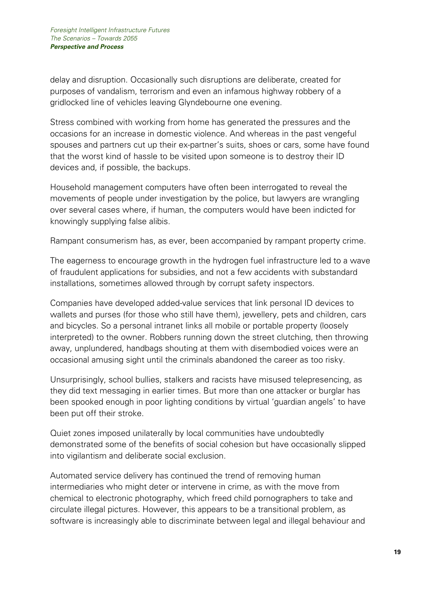delay and disruption. Occasionally such disruptions are deliberate, created for purposes of vandalism, terrorism and even an infamous highway robbery of a gridlocked line of vehicles leaving Glyndebourne one evening.

Stress combined with working from home has generated the pressures and the occasions for an increase in domestic violence. And whereas in the past vengeful spouses and partners cut up their ex-partner's suits, shoes or cars, some have found that the worst kind of hassle to be visited upon someone is to destroy their ID devices and, if possible, the backups.

Household management computers have often been interrogated to reveal the movements of people under investigation by the police, but lawyers are wrangling over several cases where, if human, the computers would have been indicted for knowingly supplying false alibis.

Rampant consumerism has, as ever, been accompanied by rampant property crime.

The eagerness to encourage growth in the hydrogen fuel infrastructure led to a wave of fraudulent applications for subsidies, and not a few accidents with substandard installations, sometimes allowed through by corrupt safety inspectors.

Companies have developed added-value services that link personal ID devices to wallets and purses (for those who still have them), jewellery, pets and children, cars and bicycles. So a personal intranet links all mobile or portable property (loosely interpreted) to the owner. Robbers running down the street clutching, then throwing away, unplundered, handbags shouting at them with disembodied voices were an occasional amusing sight until the criminals abandoned the career as too risky.

Unsurprisingly, school bullies, stalkers and racists have misused telepresencing, as they did text messaging in earlier times. But more than one attacker or burglar has been spooked enough in poor lighting conditions by virtual 'guardian angels' to have been put off their stroke.

Quiet zones imposed unilaterally by local communities have undoubtedly demonstrated some of the benefits of social cohesion but have occasionally slipped into vigilantism and deliberate social exclusion.

Automated service delivery has continued the trend of removing human intermediaries who might deter or intervene in crime, as with the move from chemical to electronic photography, which freed child pornographers to take and circulate illegal pictures. However, this appears to be a transitional problem, as software is increasingly able to discriminate between legal and illegal behaviour and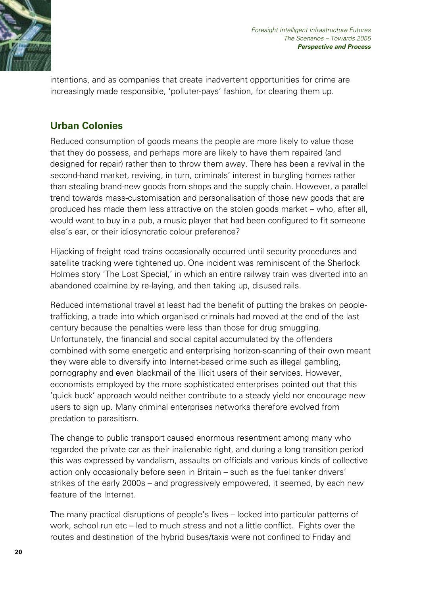

intentions, and as companies that create inadvertent opportunities for crime are increasingly made responsible, 'polluter-pays' fashion, for clearing them up.

#### **Urban Colonies**

Reduced consumption of goods means the people are more likely to value those that they do possess, and perhaps more are likely to have them repaired (and designed for repair) rather than to throw them away. There has been a revival in the second-hand market, reviving, in turn, criminals' interest in burgling homes rather than stealing brand-new goods from shops and the supply chain. However, a parallel trend towards mass-customisation and personalisation of those new goods that are produced has made them less attractive on the stolen goods market – who, after all, would want to buy in a pub, a music player that had been configured to fit someone else's ear, or their idiosyncratic colour preference?

Hijacking of freight road trains occasionally occurred until security procedures and satellite tracking were tightened up. One incident was reminiscent of the Sherlock Holmes story 'The Lost Special,' in which an entire railway train was diverted into an abandoned coalmine by re-laying, and then taking up, disused rails.

Reduced international travel at least had the benefit of putting the brakes on peopletrafficking, a trade into which organised criminals had moved at the end of the last century because the penalties were less than those for drug smuggling. Unfortunately, the financial and social capital accumulated by the offenders combined with some energetic and enterprising horizon-scanning of their own meant they were able to diversify into Internet-based crime such as illegal gambling, pornography and even blackmail of the illicit users of their services. However, economists employed by the more sophisticated enterprises pointed out that this 'quick buck' approach would neither contribute to a steady yield nor encourage new users to sign up. Many criminal enterprises networks therefore evolved from predation to parasitism.

The change to public transport caused enormous resentment among many who regarded the private car as their inalienable right, and during a long transition period this was expressed by vandalism, assaults on officials and various kinds of collective action only occasionally before seen in Britain – such as the fuel tanker drivers' strikes of the early 2000s – and progressively empowered, it seemed, by each new feature of the Internet.

The many practical disruptions of people's lives – locked into particular patterns of work, school run etc – led to much stress and not a little conflict. Fights over the routes and destination of the hybrid buses/taxis were not confined to Friday and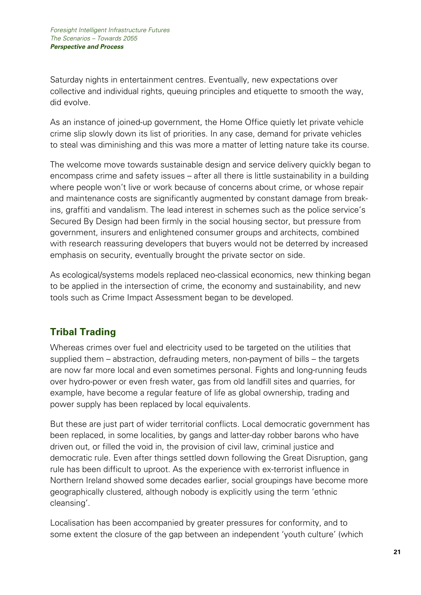Saturday nights in entertainment centres. Eventually, new expectations over collective and individual rights, queuing principles and etiquette to smooth the way, did evolve.

As an instance of joined-up government, the Home Office quietly let private vehicle crime slip slowly down its list of priorities. In any case, demand for private vehicles to steal was diminishing and this was more a matter of letting nature take its course.

The welcome move towards sustainable design and service delivery quickly began to encompass crime and safety issues – after all there is little sustainability in a building where people won't live or work because of concerns about crime, or whose repair and maintenance costs are significantly augmented by constant damage from breakins, graffiti and vandalism. The lead interest in schemes such as the police service's Secured By Design had been firmly in the social housing sector, but pressure from government, insurers and enlightened consumer groups and architects, combined with research reassuring developers that buyers would not be deterred by increased emphasis on security, eventually brought the private sector on side.

As ecological/systems models replaced neo-classical economics, new thinking began to be applied in the intersection of crime, the economy and sustainability, and new tools such as Crime Impact Assessment began to be developed.

### **Tribal Trading**

Whereas crimes over fuel and electricity used to be targeted on the utilities that supplied them – abstraction, defrauding meters, non-payment of bills – the targets are now far more local and even sometimes personal. Fights and long-running feuds over hydro-power or even fresh water, gas from old landfill sites and quarries, for example, have become a regular feature of life as global ownership, trading and power supply has been replaced by local equivalents.

But these are just part of wider territorial conflicts. Local democratic government has been replaced, in some localities, by gangs and latter-day robber barons who have driven out, or filled the void in, the provision of civil law, criminal justice and democratic rule. Even after things settled down following the Great Disruption, gang rule has been difficult to uproot. As the experience with ex-terrorist influence in Northern Ireland showed some decades earlier, social groupings have become more geographically clustered, although nobody is explicitly using the term 'ethnic cleansing'.

Localisation has been accompanied by greater pressures for conformity, and to some extent the closure of the gap between an independent 'youth culture' (which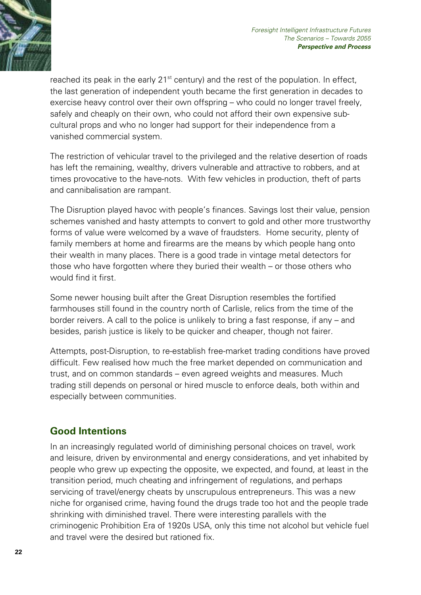

reached its peak in the early  $21^{st}$  century) and the rest of the population. In effect, the last generation of independent youth became the first generation in decades to exercise heavy control over their own offspring – who could no longer travel freely, safely and cheaply on their own, who could not afford their own expensive subcultural props and who no longer had support for their independence from a vanished commercial system.

The restriction of vehicular travel to the privileged and the relative desertion of roads has left the remaining, wealthy, drivers vulnerable and attractive to robbers, and at times provocative to the have-nots. With few vehicles in production, theft of parts and cannibalisation are rampant.

The Disruption played havoc with people's finances. Savings lost their value, pension schemes vanished and hasty attempts to convert to gold and other more trustworthy forms of value were welcomed by a wave of fraudsters. Home security, plenty of family members at home and firearms are the means by which people hang onto their wealth in many places. There is a good trade in vintage metal detectors for those who have forgotten where they buried their wealth – or those others who would find it first.

Some newer housing built after the Great Disruption resembles the fortified farmhouses still found in the country north of Carlisle, relics from the time of the border reivers. A call to the police is unlikely to bring a fast response, if any – and besides, parish justice is likely to be quicker and cheaper, though not fairer.

Attempts, post-Disruption, to re-establish free-market trading conditions have proved difficult. Few realised how much the free market depended on communication and trust, and on common standards – even agreed weights and measures. Much trading still depends on personal or hired muscle to enforce deals, both within and especially between communities.

### **Good Intentions**

In an increasingly regulated world of diminishing personal choices on travel, work and leisure, driven by environmental and energy considerations, and yet inhabited by people who grew up expecting the opposite, we expected, and found, at least in the transition period, much cheating and infringement of regulations, and perhaps servicing of travel/energy cheats by unscrupulous entrepreneurs. This was a new niche for organised crime, having found the drugs trade too hot and the people trade shrinking with diminished travel. There were interesting parallels with the criminogenic Prohibition Era of 1920s USA, only this time not alcohol but vehicle fuel and travel were the desired but rationed fix.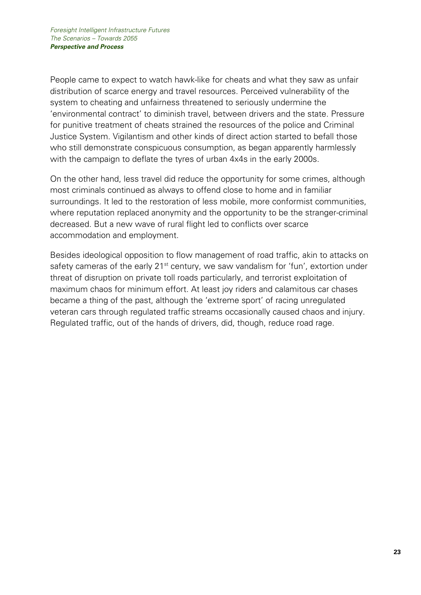People came to expect to watch hawk-like for cheats and what they saw as unfair distribution of scarce energy and travel resources. Perceived vulnerability of the system to cheating and unfairness threatened to seriously undermine the 'environmental contract' to diminish travel, between drivers and the state. Pressure for punitive treatment of cheats strained the resources of the police and Criminal Justice System. Vigilantism and other kinds of direct action started to befall those who still demonstrate conspicuous consumption, as began apparently harmlessly with the campaign to deflate the tyres of urban 4x4s in the early 2000s.

On the other hand, less travel did reduce the opportunity for some crimes, although most criminals continued as always to offend close to home and in familiar surroundings. It led to the restoration of less mobile, more conformist communities, where reputation replaced anonymity and the opportunity to be the stranger-criminal decreased. But a new wave of rural flight led to conflicts over scarce accommodation and employment.

Besides ideological opposition to flow management of road traffic, akin to attacks on safety cameras of the early  $21^{st}$  century, we saw vandalism for 'fun', extortion under threat of disruption on private toll roads particularly, and terrorist exploitation of maximum chaos for minimum effort. At least joy riders and calamitous car chases became a thing of the past, although the 'extreme sport' of racing unregulated veteran cars through regulated traffic streams occasionally caused chaos and injury. Regulated traffic, out of the hands of drivers, did, though, reduce road rage.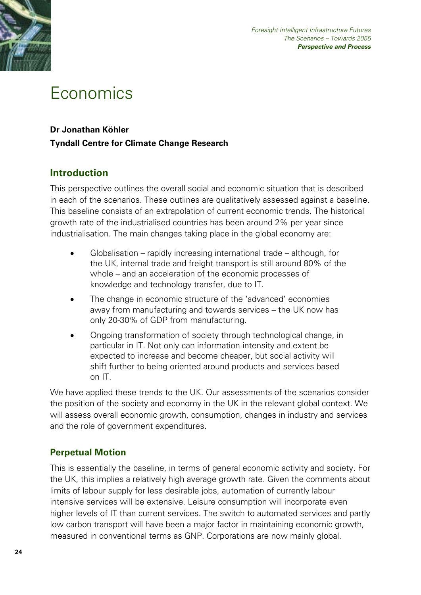<span id="page-26-0"></span>

### **Economics**

#### **Dr Jonathan Köhler**

#### **Tyndall Centre for Climate Change Research**

#### **Introduction**

This perspective outlines the overall social and economic situation that is described in each of the scenarios. These outlines are qualitatively assessed against a baseline. This baseline consists of an extrapolation of current economic trends. The historical growth rate of the industrialised countries has been around 2% per year since industrialisation. The main changes taking place in the global economy are:

- Globalisation rapidly increasing international trade although, for the UK, internal trade and freight transport is still around 80% of the whole – and an acceleration of the economic processes of knowledge and technology transfer, due to IT.
- The change in economic structure of the 'advanced' economies away from manufacturing and towards services – the UK now has only 20-30% of GDP from manufacturing.
- Ongoing transformation of society through technological change, in particular in IT. Not only can information intensity and extent be expected to increase and become cheaper, but social activity will shift further to being oriented around products and services based on IT.

We have applied these trends to the UK. Our assessments of the scenarios consider the position of the society and economy in the UK in the relevant global context. We will assess overall economic growth, consumption, changes in industry and services and the role of government expenditures.

#### **Perpetual Motion**

This is essentially the baseline, in terms of general economic activity and society. For the UK, this implies a relatively high average growth rate. Given the comments about limits of labour supply for less desirable jobs, automation of currently labour intensive services will be extensive. Leisure consumption will incorporate even higher levels of IT than current services. The switch to automated services and partly low carbon transport will have been a major factor in maintaining economic growth, measured in conventional terms as GNP. Corporations are now mainly global.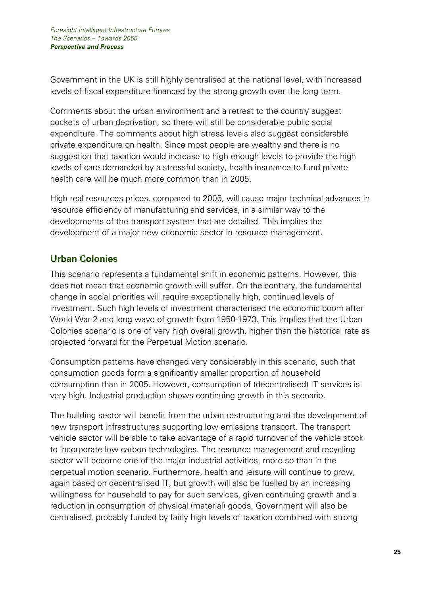Government in the UK is still highly centralised at the national level, with increased levels of fiscal expenditure financed by the strong growth over the long term.

Comments about the urban environment and a retreat to the country suggest pockets of urban deprivation, so there will still be considerable public social expenditure. The comments about high stress levels also suggest considerable private expenditure on health. Since most people are wealthy and there is no suggestion that taxation would increase to high enough levels to provide the high levels of care demanded by a stressful society, health insurance to fund private health care will be much more common than in 2005.

High real resources prices, compared to 2005, will cause major technical advances in resource efficiency of manufacturing and services, in a similar way to the developments of the transport system that are detailed. This implies the development of a major new economic sector in resource management.

#### **Urban Colonies**

This scenario represents a fundamental shift in economic patterns. However, this does not mean that economic growth will suffer. On the contrary, the fundamental change in social priorities will require exceptionally high, continued levels of investment. Such high levels of investment characterised the economic boom after World War 2 and long wave of growth from 1950-1973. This implies that the Urban Colonies scenario is one of very high overall growth, higher than the historical rate as projected forward for the Perpetual Motion scenario.

Consumption patterns have changed very considerably in this scenario, such that consumption goods form a significantly smaller proportion of household consumption than in 2005. However, consumption of (decentralised) IT services is very high. Industrial production shows continuing growth in this scenario.

The building sector will benefit from the urban restructuring and the development of new transport infrastructures supporting low emissions transport. The transport vehicle sector will be able to take advantage of a rapid turnover of the vehicle stock to incorporate low carbon technologies. The resource management and recycling sector will become one of the major industrial activities, more so than in the perpetual motion scenario. Furthermore, health and leisure will continue to grow, again based on decentralised IT, but growth will also be fuelled by an increasing willingness for household to pay for such services, given continuing growth and a reduction in consumption of physical (material) goods. Government will also be centralised, probably funded by fairly high levels of taxation combined with strong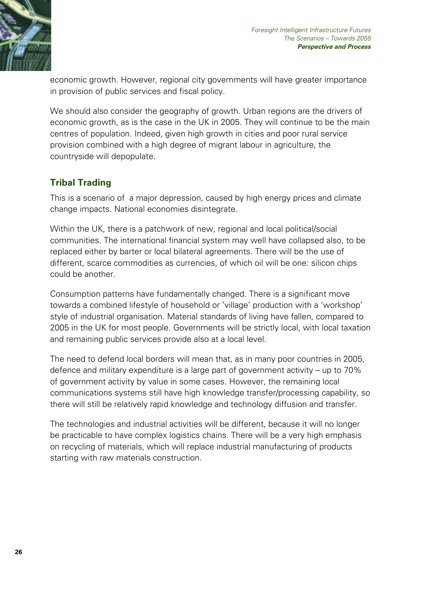

economic growth. However, regional city governments will have greater importance in provision of public services and fiscal policy.

We should also consider the geography of growth. Urban regions are the drivers of economic growth, as is the case in the UK in 2005. They will continue to be the main centres of population. Indeed, given high growth in cities and poor rural service provision combined with a high degree of migrant labour in agriculture, the countryside will depopulate.

#### **Tribal Trading**

This is a scenario of a major depression, caused by high energy prices and climate change impacts. National economies disintegrate.

Within the UK, there is a patchwork of new, regional and local political/social communities. The international financial system may well have collapsed also, to be replaced either by barter or local bilateral agreements. There will be the use of different, scarce commodities as currencies, of which oil will be one: silicon chips could be another.

Consumption patterns have fundamentally changed. There is a significant move towards a combined lifestyle of household or 'village' production with a 'workshop' style of industrial organisation. Material standards of living have fallen, compared to 2005 in the UK for most people. Governments will be strictly local, with local taxation and remaining public services provide also at a local level.

The need to defend local borders will mean that, as in many poor countries in 2005, defence and military expenditure is a large part of government activity – up to 70% of government activity by value in some cases. However, the remaining local communications systems still have high knowledge transfer/processing capability, so there will still be relatively rapid knowledge and technology diffusion and transfer.

The technologies and industrial activities will be different, because it will no longer be practicable to have complex logistics chains. There will be a very high emphasis on recycling of materials, which will replace industrial manufacturing of products starting with raw materials construction.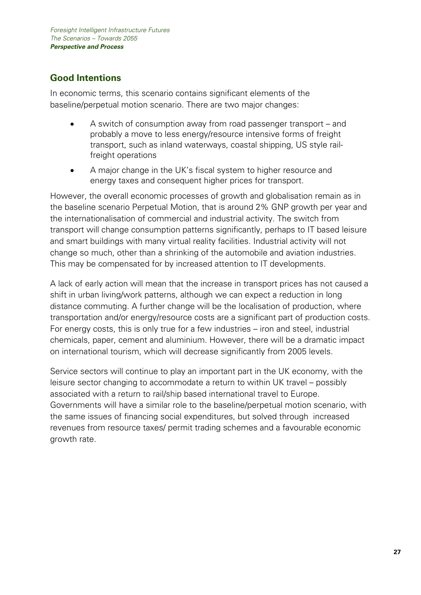#### **Good Intentions**

In economic terms, this scenario contains significant elements of the baseline/perpetual motion scenario. There are two major changes:

- A switch of consumption away from road passenger transport and probably a move to less energy/resource intensive forms of freight transport, such as inland waterways, coastal shipping, US style railfreight operations
- A major change in the UK's fiscal system to higher resource and energy taxes and consequent higher prices for transport.

However, the overall economic processes of growth and globalisation remain as in the baseline scenario Perpetual Motion, that is around 2% GNP growth per year and the internationalisation of commercial and industrial activity. The switch from transport will change consumption patterns significantly, perhaps to IT based leisure and smart buildings with many virtual reality facilities. Industrial activity will not change so much, other than a shrinking of the automobile and aviation industries. This may be compensated for by increased attention to IT developments.

A lack of early action will mean that the increase in transport prices has not caused a shift in urban living/work patterns, although we can expect a reduction in long distance commuting. A further change will be the localisation of production, where transportation and/or energy/resource costs are a significant part of production costs. For energy costs, this is only true for a few industries – iron and steel, industrial chemicals, paper, cement and aluminium. However, there will be a dramatic impact on international tourism, which will decrease significantly from 2005 levels.

Service sectors will continue to play an important part in the UK economy, with the leisure sector changing to accommodate a return to within UK travel – possibly associated with a return to rail/ship based international travel to Europe. Governments will have a similar role to the baseline/perpetual motion scenario, with the same issues of financing social expenditures, but solved through increased revenues from resource taxes/ permit trading schemes and a favourable economic growth rate.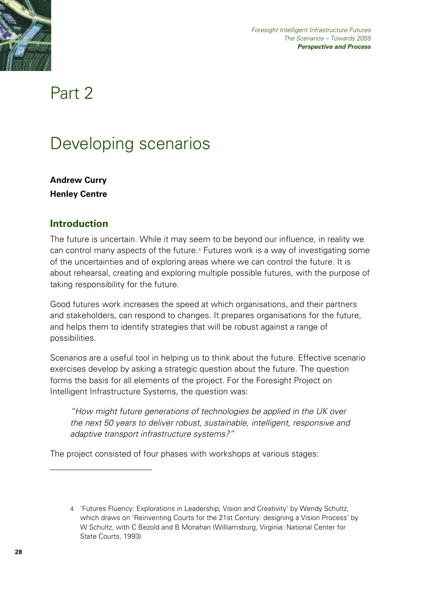<span id="page-30-0"></span>

## Part 2

### Developing scenarios

**Andrew Curry Henley Centre** 

#### **Introduction**

The future is uncertain. While it may seem to be beyond our influence, in reality we can control many aspects of the future.[4](#page-30-0) Futures work is a way of investigating some of the uncertainties and of exploring areas where we can control the future. It is about rehearsal, creating and exploring multiple possible futures, with the purpose of taking responsibility for the future.

Good futures work increases the speed at which organisations, and their partners and stakeholders, can respond to changes. It prepares organisations for the future, and helps them to identify strategies that will be robust against a range of possibilities.

Scenarios are a useful tool in helping us to think about the future. Effective scenario exercises develop by asking a strategic question about the future. The question forms the basis for all elements of the project. For the Foresight Project on Intelligent Infrastructure Systems, the question was:

*"How might future generations of technologies be applied in the UK over the next 50 years to deliver robust, sustainable, intelligent, responsive and adaptive transport infrastructure systems?"* 

The project consisted of four phases with workshops at various stages:

1

<sup>4 &#</sup>x27;Futures Fluency: Explorations in Leadership, Vision and Creativity' by Wendy Schultz, which draws on 'Reinventing Courts for the 21st Century: designing a Vision Process' by W Schultz, with C Bezold and B Monahan (Williamsburg, Virginia: National Center for State Courts, 1993)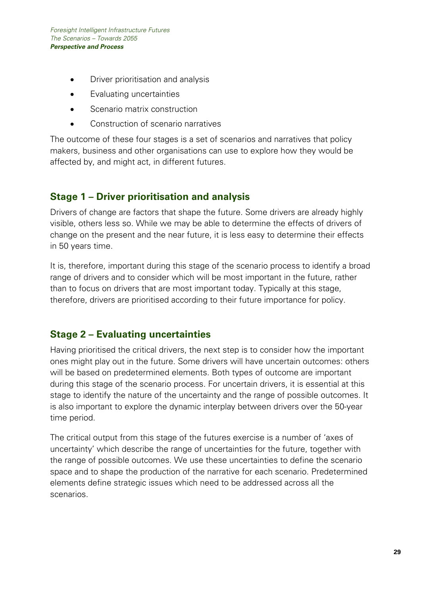- Driver prioritisation and analysis
- Evaluating uncertainties
- Scenario matrix construction
- Construction of scenario narratives

The outcome of these four stages is a set of scenarios and narratives that policy makers, business and other organisations can use to explore how they would be affected by, and might act, in different futures.

#### **Stage 1 – Driver prioritisation and analysis**

Drivers of change are factors that shape the future. Some drivers are already highly visible, others less so. While we may be able to determine the effects of drivers of change on the present and the near future, it is less easy to determine their effects in 50 years time.

It is, therefore, important during this stage of the scenario process to identify a broad range of drivers and to consider which will be most important in the future, rather than to focus on drivers that are most important today. Typically at this stage, therefore, drivers are prioritised according to their future importance for policy.

#### **Stage 2 – Evaluating uncertainties**

Having prioritised the critical drivers, the next step is to consider how the important ones might play out in the future. Some drivers will have uncertain outcomes: others will be based on predetermined elements. Both types of outcome are important during this stage of the scenario process. For uncertain drivers, it is essential at this stage to identify the nature of the uncertainty and the range of possible outcomes. It is also important to explore the dynamic interplay between drivers over the 50-year time period.

The critical output from this stage of the futures exercise is a number of 'axes of uncertainty' which describe the range of uncertainties for the future, together with the range of possible outcomes. We use these uncertainties to define the scenario space and to shape the production of the narrative for each scenario. Predetermined elements define strategic issues which need to be addressed across all the scenarios.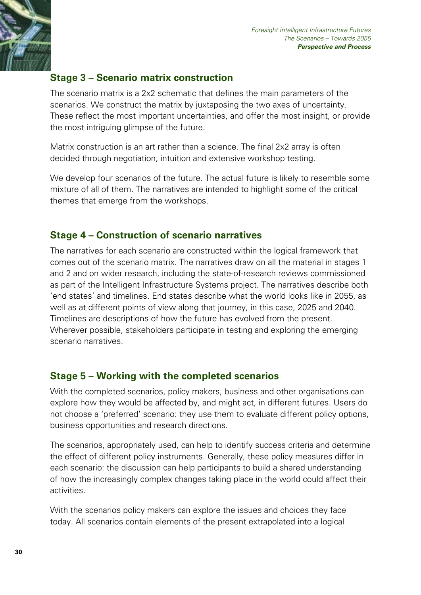

#### **Stage 3 – Scenario matrix construction**

The scenario matrix is a 2x2 schematic that defines the main parameters of the scenarios. We construct the matrix by juxtaposing the two axes of uncertainty. These reflect the most important uncertainties, and offer the most insight, or provide the most intriguing glimpse of the future.

Matrix construction is an art rather than a science. The final 2x2 array is often decided through negotiation, intuition and extensive workshop testing.

We develop four scenarios of the future. The actual future is likely to resemble some mixture of all of them. The narratives are intended to highlight some of the critical themes that emerge from the workshops.

### **Stage 4 – Construction of scenario narratives**

The narratives for each scenario are constructed within the logical framework that comes out of the scenario matrix. The narratives draw on all the material in stages 1 and 2 and on wider research, including the state-of-research reviews commissioned as part of the Intelligent Infrastructure Systems project. The narratives describe both 'end states' and timelines. End states describe what the world looks like in 2055, as well as at different points of view along that journey, in this case, 2025 and 2040. Timelines are descriptions of how the future has evolved from the present. Wherever possible, stakeholders participate in testing and exploring the emerging scenario narratives.

### **Stage 5 – Working with the completed scenarios**

With the completed scenarios, policy makers, business and other organisations can explore how they would be affected by, and might act, in different futures. Users do not choose a 'preferred' scenario: they use them to evaluate different policy options, business opportunities and research directions.

The scenarios, appropriately used, can help to identify success criteria and determine the effect of different policy instruments. Generally, these policy measures differ in each scenario: the discussion can help participants to build a shared understanding of how the increasingly complex changes taking place in the world could affect their activities.

With the scenarios policy makers can explore the issues and choices they face today. All scenarios contain elements of the present extrapolated into a logical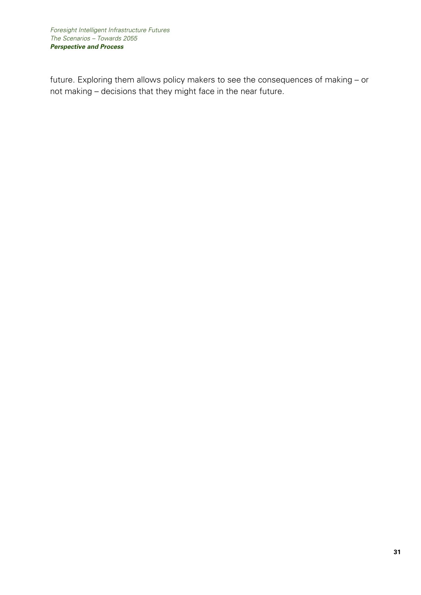future. Exploring them allows policy makers to see the consequences of making – or not making – decisions that they might face in the near future.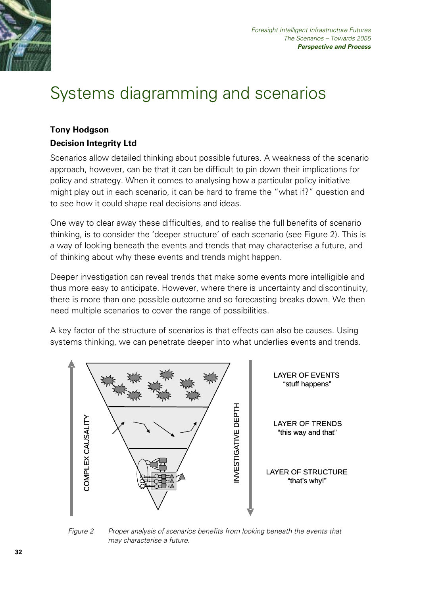<span id="page-34-0"></span>

## Systems diagramming and scenarios

### **Tony Hodgson**

#### **Decision Integrity Ltd**

Scenarios allow detailed thinking about possible futures. A weakness of the scenario approach, however, can be that it can be difficult to pin down their implications for policy and strategy. When it comes to analysing how a particular policy initiative might play out in each scenario, it can be hard to frame the "what if?" question and to see how it could shape real decisions and ideas.

One way to clear away these difficulties, and to realise the full benefits of scenario thinking, is to consider the 'deeper structure' of each scenario (see Figure 2). This is a way of looking beneath the events and trends that may characterise a future, and of thinking about why these events and trends might happen.

Deeper investigation can reveal trends that make some events more intelligible and thus more easy to anticipate. However, where there is uncertainty and discontinuity, there is more than one possible outcome and so forecasting breaks down. We then need multiple scenarios to cover the range of possibilities.

A key factor of the structure of scenarios is that effects can also be causes. Using systems thinking, we can penetrate deeper into what underlies events and trends.



*Figure 2 Proper analysis of scenarios benefits from looking beneath the events that may characterise a future.*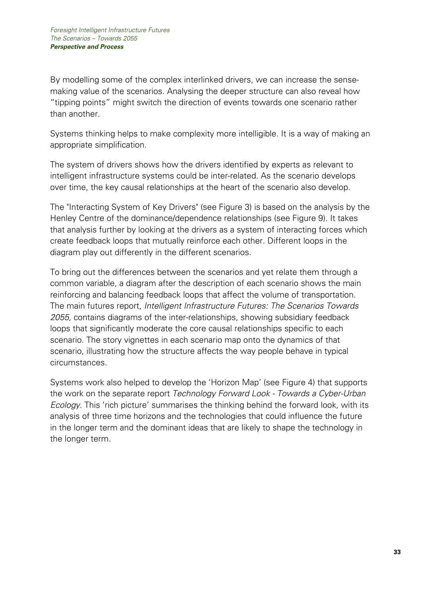By modelling some of the complex interlinked drivers, we can increase the sensemaking value of the scenarios. Analysing the deeper structure can also reveal how "tipping points" might switch the direction of events towards one scenario rather than another.

Systems thinking helps to make complexity more intelligible. It is a way of making an appropriate simplification.

The system of drivers shows how the drivers identified by experts as relevant to intelligent infrastructure systems could be inter-related. As the scenario develops over time, the key causal relationships at the heart of the scenario also develop.

The "Interacting System of Key Drivers" (see Figure 3) is based on the analysis by the Henley Centre of the dominance/dependence relationships (see [Figure 9](#page-45-0)). It takes that analysis further by looking at the drivers as a system of interacting forces which create feedback loops that mutually reinforce each other. Different loops in the diagram play out differently in the different scenarios.

To bring out the differences between the scenarios and yet relate them through a common variable, a diagram after the description of each scenario shows the main reinforcing and balancing feedback loops that affect the volume of transportation. The main futures report, *Intelligent Infrastructure Futures: The Scenarios Towards 2055,* contains diagrams of the inter-relationships, showing subsidiary feedback loops that significantly moderate the core causal relationships specific to each scenario. The story vignettes in each scenario map onto the dynamics of that scenario, illustrating how the structure affects the way people behave in typical circumstances.

Systems work also helped to develop the 'Horizon Map' (see Figure 4) that supports the work on the separate report *Technology Forward Look - Towards a Cyber-Urban Ecology*. This 'rich picture' summarises the thinking behind the forward look, with its analysis of three time horizons and the technologies that could influence the future in the longer term and the dominant ideas that are likely to shape the technology in the longer term.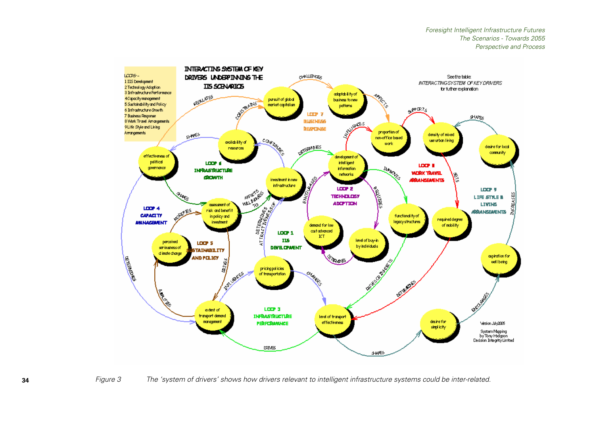

*Figure 3 The 'system of drivers' shows how drivers relevant to intelligent infrastructure systems could be inter-related.*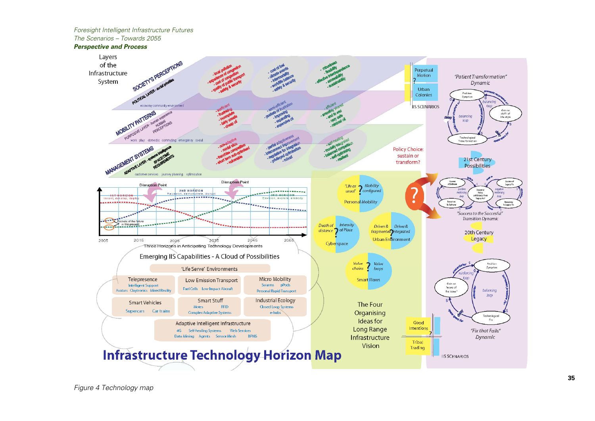#### *Foresight Intelligent Infrastructure Futures*

*The Scenarios – Towards 2055* 

#### *Perspective and Process*

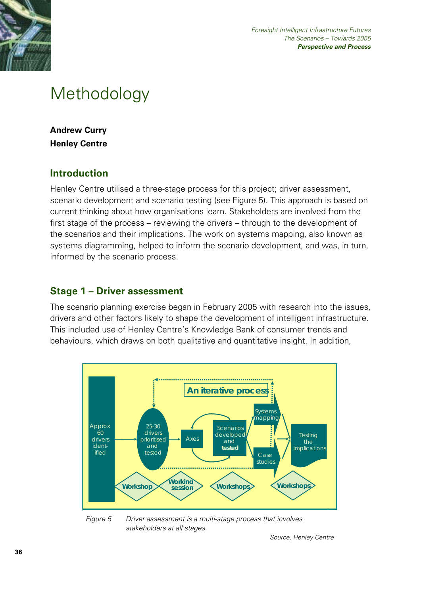<span id="page-38-0"></span>

### Methodology

**Andrew Curry Henley Centre** 

#### **Introduction**

Henley Centre utilised a three-stage process for this project; driver assessment, scenario development and scenario testing (see Figure 5). This approach is based on current thinking about how organisations learn. Stakeholders are involved from the first stage of the process – reviewing the drivers – through to the development of the scenarios and their implications. The work on systems mapping, also known as systems diagramming, helped to inform the scenario development, and was, in turn, informed by the scenario process.

#### **Stage 1 – Driver assessment**

The scenario planning exercise began in February 2005 with research into the issues, drivers and other factors likely to shape the development of intelligent infrastructure. This included use of Henley Centre's Knowledge Bank of consumer trends and behaviours, which draws on both qualitative and quantitative insight. In addition,



*Figure 5 Driver assessment is a multi-stage process that involves stakeholders at all stages.*

*Source, Henley Centre*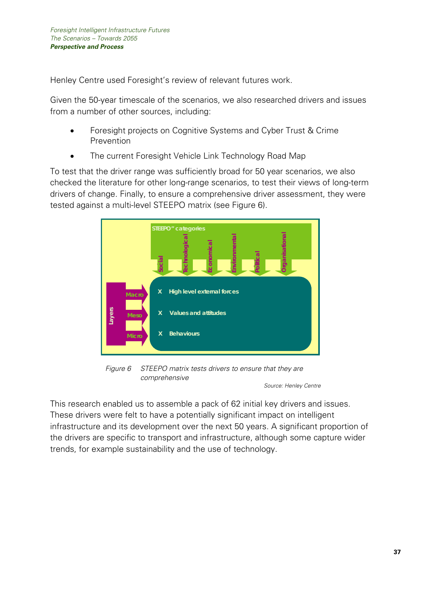Henley Centre used Foresight's review of relevant futures work.

Given the 50-year timescale of the scenarios, we also researched drivers and issues from a number of other sources, including:

- Foresight projects on Cognitive Systems and Cyber Trust & Crime **Prevention**
- The current Foresight Vehicle Link Technology Road Map

To test that the driver range was sufficiently broad for 50 year scenarios, we also checked the literature for other long-range scenarios, to test their views of long-term drivers of change. Finally, to ensure a comprehensive driver assessment, they were tested against a multi-level STEEPO matrix (see [Figure 6\)](#page-39-0).



*Figure 6 STEEPO matrix tests drivers to ensure that they are comprehensive* 

*Source: Henley Centre* 

<span id="page-39-0"></span>This research enabled us to assemble a pack of 62 initial key drivers and issues. These drivers were felt to have a potentially significant impact on intelligent infrastructure and its development over the next 50 years. A significant proportion of the drivers are specific to transport and infrastructure, although some capture wider trends, for example sustainability and the use of technology.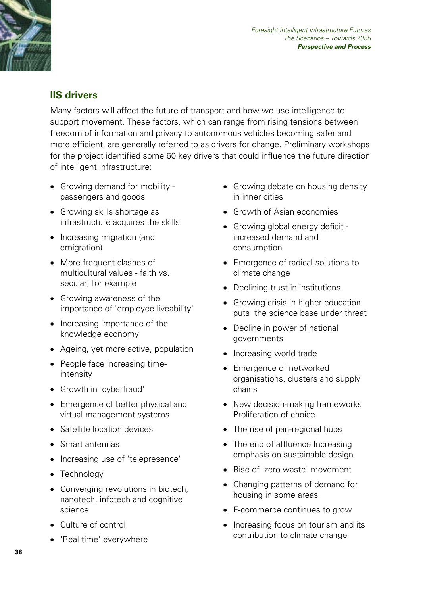

#### **IIS drivers**

Many factors will affect the future of transport and how we use intelligence to support movement. These factors, which can range from rising tensions between freedom of information and privacy to autonomous vehicles becoming safer and more efficient, are generally referred to as drivers for change. Preliminary workshops for the project identified some 60 key drivers that could influence the future direction of intelligent infrastructure:

- Growing demand for mobility passengers and goods
- Growing skills shortage as infrastructure acquires the skills
- Increasing migration (and emigration)
- More frequent clashes of multicultural values - faith vs. secular, for example
- Growing awareness of the importance of 'employee liveability'
- Increasing importance of the knowledge economy
- Ageing, yet more active, population
- People face increasing timeintensity
- Growth in 'cyberfraud'
- Emergence of better physical and virtual management systems
- Satellite location devices
- Smart antennas
- Increasing use of 'telepresence'
- Technology
- Converging revolutions in biotech. nanotech, infotech and cognitive science
- Culture of control
- 'Real time' everywhere
- Growing debate on housing density in inner cities
- Growth of Asian economies
- Growing global energy deficit increased demand and consumption
- Emergence of radical solutions to climate change
- Declining trust in institutions
- Growing crisis in higher education puts the science base under threat
- Decline in power of national governments
- Increasing world trade
- Emergence of networked organisations, clusters and supply chains
- New decision-making frameworks Proliferation of choice
- The rise of pan-regional hubs
- The end of affluence Increasing emphasis on sustainable design
- Rise of 'zero waste' movement
- Changing patterns of demand for housing in some areas
- E-commerce continues to grow
- Increasing focus on tourism and its contribution to climate change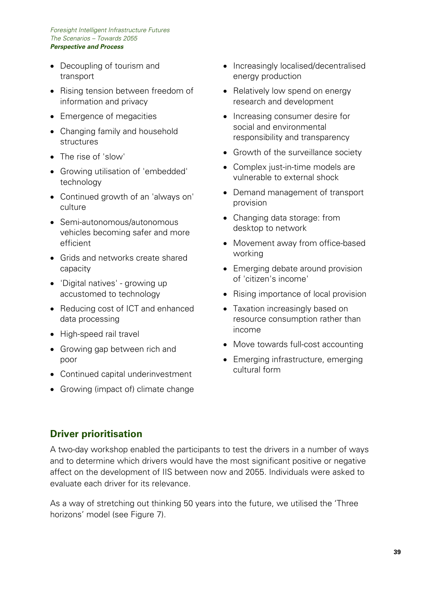#### *Foresight Intelligent Infrastructure Futures The Scenarios – Towards 2055 Perspective and Process*

- Decoupling of tourism and transport
- Rising tension between freedom of information and privacy
- 
- Changing family and household **•** Social and environmental Changing family and household **•** responsibility and transparency structures
- 
- vulnerable to external shock Growing utilisation of 'embedded' technology
- Continued growth of an 'always on' Pernand provision culture
- Semi-autonomous/autonomous<br>desktop to network Semi-autonomous vehicles becoming safer and more
- Grids and networks create shared **working**
- of 'citizen's income' 'Digital natives' growing up
- Reducing cost of ICT and enhanced data processing
- High-speed rail travel **implement of the set of the entity of the entity of the entity of the entity of the entity of the entity of the entity of the entity of the entity of the entity of the entity of the entity of the**
- 
- Continued capital underinvestment example that cultural form
- Growing (impact of) climate change
- Increasingly localised/decentralised energy production
- Relatively low spend on energy research and development
- Emergence of megacities Increasing consumer desire for social and environmental
- Growth of the surveillance society The rise of 'slow'
	- Complex just-in-time models are
	- Demand management of transport
	- Changing data storage: from
	- efficient Movement away from office-based
	- capacity  **Emerging debate around provision**
	- accustomed to technology Rising importance of local provision
		- Taxation increasingly based on resource consumption rather than
- Growing gap between rich and **•** Move towards full-cost accounting
	- poor  **Emerging infrastructure, emerging infrastructure**

#### **Driver prioritisation**

A two-day workshop enabled the participants to test the drivers in a number of ways and to determine which drivers would have the most significant positive or negative affect on the development of IIS between now and 2055. Individuals were asked to evaluate each driver for its relevance.

As a way of stretching out thinking 50 years into the future, we utilised the 'Three horizons' model (see [Figure 7](#page-42-0)).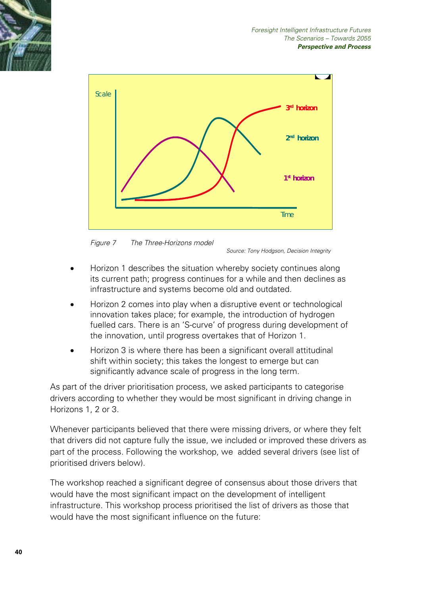



*Figure 7 The Three-Horizons model* 

- <span id="page-42-0"></span>• Horizon 1 describes the situation whereby society continues along its current path; progress continues for a while and then declines as infrastructure and systems become old and outdated.
- Horizon 2 comes into play when a disruptive event or technological innovation takes place; for example, the introduction of hydrogen fuelled cars. There is an 'S-curve' of progress during development of the innovation, until progress overtakes that of Horizon 1.
- Horizon 3 is where there has been a significant overall attitudinal shift within society; this takes the longest to emerge but can significantly advance scale of progress in the long term.

As part of the driver prioritisation process, we asked participants to categorise drivers according to whether they would be most significant in driving change in Horizons 1, 2 or 3.

Whenever participants believed that there were missing drivers, or where they felt that drivers did not capture fully the issue, we included or improved these drivers as part of the process. Following the workshop, we added several drivers (see list of prioritised drivers below).

The workshop reached a significant degree of consensus about those drivers that would have the most significant impact on the development of intelligent infrastructure. This workshop process prioritised the list of drivers as those that would have the most significant influence on the future:

*Source: Tony Hodgson, Decision Integrity*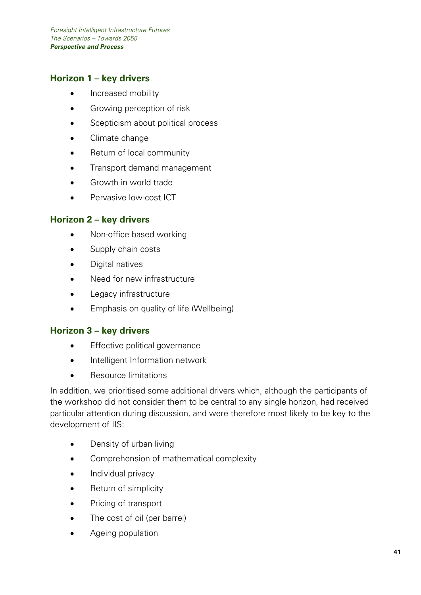#### **Horizon 1 – key drivers**

- Increased mobility
- Growing perception of risk
- Scepticism about political process
- Climate change
- Return of local community
- Transport demand management
- Growth in world trade
- Pervasive low-cost ICT

#### **Horizon 2 – key drivers**

- Non-office based working
- Supply chain costs
- Digital natives
- Need for new infrastructure
- Legacy infrastructure
- Emphasis on quality of life (Wellbeing)

#### **Horizon 3 – key drivers**

- Effective political governance
- Intelligent Information network
- Resource limitations

In addition, we prioritised some additional drivers which, although the participants of the workshop did not consider them to be central to any single horizon, had received particular attention during discussion, and were therefore most likely to be key to the development of IIS:

- Density of urban living
- Comprehension of mathematical complexity
- Individual privacy
- Return of simplicity
- Pricing of transport
- The cost of oil (per barrel)
- Ageing population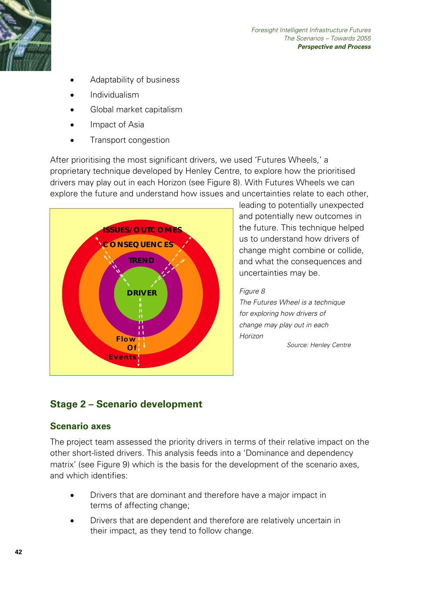

- Adaptability of business
- Individualism
- Global market capitalism
- Impact of Asia
- Transport congestion

After prioritising the most significant drivers, we used 'Futures Wheels,' a proprietary technique developed by Henley Centre, to explore how the prioritised drivers may play out in each Horizon (see [Figure 8](#page-44-0)). With Futures Wheels we can explore the future and understand how issues and uncertainties relate to each other,

<span id="page-44-0"></span>

leading to potentially unexpected and potentially new outcomes in the future. This technique helped us to understand how drivers of change might combine or collide, and what the consequences and uncertainties may be.

#### *Figure 8*

*The Futures Wheel is a technique for exploring how drivers of change may play out in each Horizon* 

*Source: Henley Centre* 

#### **Stage 2 – Scenario development**

#### **Scenario axes**

The project team assessed the priority drivers in terms of their relative impact on the other short-listed drivers. This analysis feeds into a 'Dominance and dependency matrix' (see [Figure 9](#page-45-0)) which is the basis for the development of the scenario axes, and which identifies:

- Drivers that are dominant and therefore have a major impact in terms of affecting change;
- Drivers that are dependent and therefore are relatively uncertain in their impact, as they tend to follow change.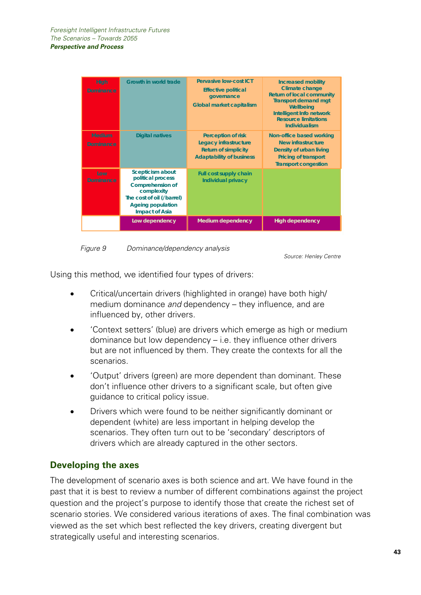| <b>High</b><br>Dominance | Growth in world trade                                                                                                                                            | Pervasive low-cost ICT<br><b>Effective political</b><br>governance<br>Global market capitalism                | <b>Increased mobility</b><br><b>Climate change</b><br><b>Return of local community</b><br><b>Transport demand mgt</b><br>Wellbeing<br>Intelligent Info network<br><b>Resource limitations</b><br>Individualism |
|--------------------------|------------------------------------------------------------------------------------------------------------------------------------------------------------------|---------------------------------------------------------------------------------------------------------------|----------------------------------------------------------------------------------------------------------------------------------------------------------------------------------------------------------------|
| Medium<br>Dominance      | <b>Digital natives</b>                                                                                                                                           | Perception of risk<br>Legacy infrastructure<br><b>Return of simplicity</b><br><b>Adaptability of business</b> | Non-office based working<br>New infrastructure<br>Density of urban living<br><b>Pricing of transport</b><br><b>Transport congestion</b>                                                                        |
| Low<br><b>Dominance</b>  | Scepticism about<br>political process<br><b>Comprehension of</b><br>complexity<br>The cost of oil (/barrel)<br><b>Ageing population</b><br><b>Impact of Asia</b> | <b>Full cost supply chain</b><br><b>Individual privacy</b>                                                    |                                                                                                                                                                                                                |
|                          | Low dependency                                                                                                                                                   | <b>Medium dependency</b>                                                                                      | <b>High dependency</b>                                                                                                                                                                                         |

*Figure 9 Dominance/dependency analysis* 

*Source: Henley Centre* 

<span id="page-45-0"></span>Using this method, we identified four types of drivers:

- Critical/uncertain drivers (highlighted in orange) have both high/ medium dominance *and* dependency – they influence, and are influenced by, other drivers.
- 'Context setters' (blue) are drivers which emerge as high or medium dominance but low dependency – i.e. they influence other drivers but are not influenced by them. They create the contexts for all the scenarios.
- 'Output' drivers (green) are more dependent than dominant. These don't influence other drivers to a significant scale, but often give guidance to critical policy issue.
- Drivers which were found to be neither significantly dominant or dependent (white) are less important in helping develop the scenarios. They often turn out to be 'secondary' descriptors of drivers which are already captured in the other sectors.

#### **Developing the axes**

The development of scenario axes is both science and art. We have found in the past that it is best to review a number of different combinations against the project question and the project's purpose to identify those that create the richest set of scenario stories. We considered various iterations of axes. The final combination was viewed as the set which best reflected the key drivers, creating divergent but strategically useful and interesting scenarios.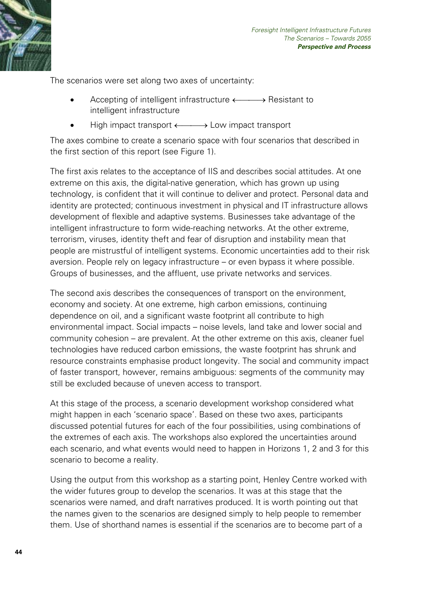

The scenarios were set along two axes of uncertainty:

- Accepting of intelligent infrastructure ← → Resistant to intelligent infrastructure
- High impact transport ← Low impact transport

The axes combine to create a scenario space with four scenarios that described in the first section of this report (see Figure 1).

The first axis relates to the acceptance of IIS and describes social attitudes. At one extreme on this axis, the digital-native generation, which has grown up using technology, is confident that it will continue to deliver and protect. Personal data and identity are protected; continuous investment in physical and IT infrastructure allows development of flexible and adaptive systems. Businesses take advantage of the intelligent infrastructure to form wide-reaching networks. At the other extreme, terrorism, viruses, identity theft and fear of disruption and instability mean that people are mistrustful of intelligent systems. Economic uncertainties add to their risk aversion. People rely on legacy infrastructure – or even bypass it where possible. Groups of businesses, and the affluent, use private networks and services*.* 

The second axis describes the consequences of transport on the environment, economy and society. At one extreme, high carbon emissions, continuing dependence on oil, and a significant waste footprint all contribute to high environmental impact. Social impacts – noise levels, land take and lower social and community cohesion – are prevalent. At the other extreme on this axis, cleaner fuel technologies have reduced carbon emissions, the waste footprint has shrunk and resource constraints emphasise product longevity. The social and community impact of faster transport, however, remains ambiguous: segments of the community may still be excluded because of uneven access to transport.

At this stage of the process, a scenario development workshop considered what might happen in each 'scenario space'. Based on these two axes, participants discussed potential futures for each of the four possibilities, using combinations of the extremes of each axis. The workshops also explored the uncertainties around each scenario, and what events would need to happen in Horizons 1, 2 and 3 for this scenario to become a reality.

Using the output from this workshop as a starting point, Henley Centre worked with the wider futures group to develop the scenarios. It was at this stage that the scenarios were named, and draft narratives produced. It is worth pointing out that the names given to the scenarios are designed simply to help people to remember them. Use of shorthand names is essential if the scenarios are to become part of a